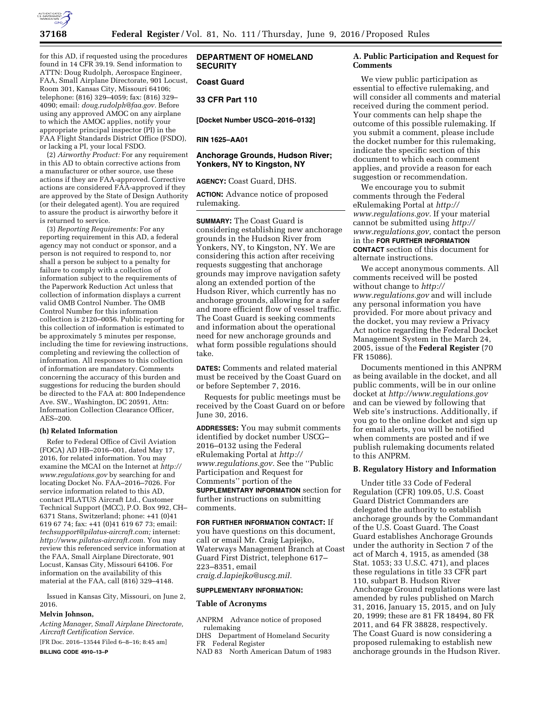

for this AD, if requested using the procedures found in 14 CFR 39.19. Send information to ATTN: Doug Rudolph, Aerospace Engineer, FAA, Small Airplane Directorate, 901 Locust, Room 301, Kansas City, Missouri 64106; telephone: (816) 329–4059; fax: (816) 329– 4090; email: *[doug.rudolph@faa.gov.](mailto:doug.rudolph@faa.gov)* Before using any approved AMOC on any airplane to which the AMOC applies, notify your appropriate principal inspector (PI) in the FAA Flight Standards District Office (FSDO), or lacking a PI, your local FSDO.

(2) *Airworthy Product:* For any requirement in this AD to obtain corrective actions from a manufacturer or other source, use these actions if they are FAA-approved. Corrective actions are considered FAA-approved if they are approved by the State of Design Authority (or their delegated agent). You are required to assure the product is airworthy before it is returned to service.

(3) *Reporting Requirements:* For any reporting requirement in this AD, a federal agency may not conduct or sponsor, and a person is not required to respond to, nor shall a person be subject to a penalty for failure to comply with a collection of information subject to the requirements of the Paperwork Reduction Act unless that collection of information displays a current valid OMB Control Number. The OMB Control Number for this information collection is 2120–0056. Public reporting for this collection of information is estimated to be approximately 5 minutes per response, including the time for reviewing instructions, completing and reviewing the collection of information. All responses to this collection of information are mandatory. Comments concerning the accuracy of this burden and suggestions for reducing the burden should be directed to the FAA at: 800 Independence Ave. SW., Washington, DC 20591, Attn: Information Collection Clearance Officer, AES–200.

#### **(h) Related Information**

Refer to Federal Office of Civil Aviation (FOCA) AD HB–2016–001, dated May 17, 2016, for related information. You may examine the MCAI on the Internet at *[http://](http://www.regulations.gov)  [www.regulations.gov](http://www.regulations.gov)* by searching for and locating Docket No. FAA–2016–7026. For service information related to this AD, contact PILATUS Aircraft Ltd., Customer Technical Support (MCC), P.O. Box 992, CH– 6371 Stans, Switzerland; phone: +41 (0)41 619 67 74; fax: +41 (0)41 619 67 73; email: *[techsupport@pilatus-aircraft.com;](mailto:techsupport@pilatus-aircraft.com)* internet: *[http://www.pilatus-aircraft.com.](http://www.pilatus-aircraft.com)* You may review this referenced service information at the FAA, Small Airplane Directorate, 901 Locust, Kansas City, Missouri 64106. For information on the availability of this material at the FAA, call (816) 329–4148.

Issued in Kansas City, Missouri, on June 2, 2016.

## **Melvin Johnson,**

*Acting Manager, Small Airplane Directorate, Aircraft Certification Service.* 

[FR Doc. 2016–13544 Filed 6–8–16; 8:45 am] **BILLING CODE 4910–13–P** 

**DEPARTMENT OF HOMELAND SECURITY** 

# **Coast Guard**

# **33 CFR Part 110**

**[Docket Number USCG–2016–0132]** 

#### **RIN 1625–AA01**

# **Anchorage Grounds, Hudson River; Yonkers, NY to Kingston, NY**

**AGENCY:** Coast Guard, DHS.

**ACTION:** Advance notice of proposed rulemaking.

**SUMMARY:** The Coast Guard is considering establishing new anchorage grounds in the Hudson River from Yonkers, NY, to Kingston, NY. We are considering this action after receiving requests suggesting that anchorage grounds may improve navigation safety along an extended portion of the Hudson River, which currently has no anchorage grounds, allowing for a safer and more efficient flow of vessel traffic. The Coast Guard is seeking comments and information about the operational need for new anchorage grounds and what form possible regulations should take.

**DATES:** Comments and related material must be received by the Coast Guard on or before September 7, 2016.

Requests for public meetings must be received by the Coast Guard on or before June 30, 2016.

**ADDRESSES:** You may submit comments identified by docket number USCG– 2016–0132 using the Federal eRulemaking Portal at *[http://](http://www.regulations.gov)  [www.regulations.gov.](http://www.regulations.gov)* See the ''Public Participation and Request for Comments'' portion of the **SUPPLEMENTARY INFORMATION** section for further instructions on submitting comments.

#### **FOR FURTHER INFORMATION CONTACT:** If

you have questions on this document, call or email Mr. Craig Lapiejko, Waterways Management Branch at Coast Guard First District, telephone 617– 223–8351, email *[craig.d.lapiejko@uscg.mil.](mailto:craig.d.lapiejko@uscg.mil)* 

#### **SUPPLEMENTARY INFORMATION:**

# **Table of Acronyms**

ANPRM Advance notice of proposed rulemaking

DHS Department of Homeland Security FR Federal Register

NAD 83 North American Datum of 1983

# **A. Public Participation and Request for Comments**

We view public participation as essential to effective rulemaking, and will consider all comments and material received during the comment period. Your comments can help shape the outcome of this possible rulemaking. If you submit a comment, please include the docket number for this rulemaking, indicate the specific section of this document to which each comment applies, and provide a reason for each suggestion or recommendation.

We encourage you to submit comments through the Federal eRulemaking Portal at *[http://](http://www.regulations.gov)  [www.regulations.gov.](http://www.regulations.gov)* If your material cannot be submitted using *[http://](http://www.regulations.gov)  [www.regulations.gov,](http://www.regulations.gov)* contact the person in the **FOR FURTHER INFORMATION CONTACT** section of this document for alternate instructions.

We accept anonymous comments. All comments received will be posted without change to *[http://](http://www.regulations.gov) [www.regulations.gov](http://www.regulations.gov)* and will include any personal information you have provided. For more about privacy and the docket, you may review a Privacy Act notice regarding the Federal Docket Management System in the March 24, 2005, issue of the **Federal Register** (70 FR 15086).

Documents mentioned in this ANPRM as being available in the docket, and all public comments, will be in our online docket at *<http://www.regulations.gov>*  and can be viewed by following that Web site's instructions. Additionally, if you go to the online docket and sign up for email alerts, you will be notified when comments are posted and if we publish rulemaking documents related to this ANPRM.

#### **B. Regulatory History and Information**

Under title 33 Code of Federal Regulation (CFR) 109.05, U.S. Coast Guard District Commanders are delegated the authority to establish anchorage grounds by the Commandant of the U.S. Coast Guard. The Coast Guard establishes Anchorage Grounds under the authority in Section 7 of the act of March 4, 1915, as amended (38 Stat. 1053; 33 U.S.C. 471), and places these regulations in title 33 CFR part 110, subpart B. Hudson River Anchorage Ground regulations were last amended by rules published on March 31, 2016, January 15, 2015, and on July 20, 1999; these are 81 FR 18494, 80 FR 2011, and 64 FR 38828, respectively. The Coast Guard is now considering a proposed rulemaking to establish new anchorage grounds in the Hudson River.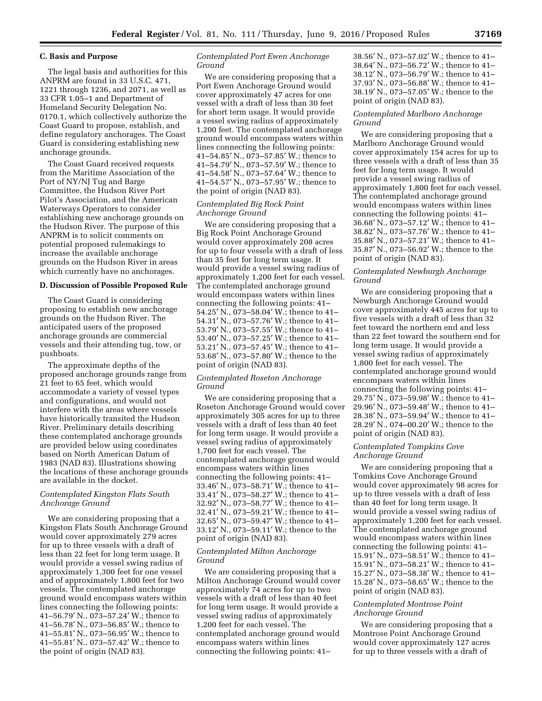# **C. Basis and Purpose**

The legal basis and authorities for this ANPRM are found in 33 U.S.C. 471, 1221 through 1236, and 2071, as well as 33 CFR 1.05–1 and Department of Homeland Security Delegation No. 0170.1, which collectively authorize the Coast Guard to propose, establish, and define regulatory anchorages. The Coast Guard is considering establishing new anchorage grounds.

The Coast Guard received requests from the Maritime Association of the Port of NY/NJ Tug and Barge Committee, the Hudson River Port Pilot's Association, and the American Waterways Operators to consider establishing new anchorage grounds on the Hudson River. The purpose of this ANPRM is to solicit comments on potential proposed rulemakings to increase the available anchorage grounds on the Hudson River in areas which currently have no anchorages.

#### **D. Discussion of Possible Proposed Rule**

The Coast Guard is considering proposing to establish new anchorage grounds on the Hudson River. The anticipated users of the proposed anchorage grounds are commercial vessels and their attending tug, tow, or pushboats.

The approximate depths of the proposed anchorage grounds range from 21 feet to 65 feet, which would accommodate a variety of vessel types and configurations, and would not interfere with the areas where vessels have historically transited the Hudson River. Preliminary details describing these contemplated anchorage grounds are provided below using coordinates based on North American Datum of 1983 (NAD 83). Illustrations showing the locations of these anchorage grounds are available in the docket.

## *Contemplated Kingston Flats South Anchorage Ground*

We are considering proposing that a Kingston Flats South Anchorage Ground would cover approximately 279 acres for up to three vessels with a draft of less than 22 feet for long term usage. It would provide a vessel swing radius of approximately 1,300 feet for one vessel and of approximately 1,800 feet for two vessels. The contemplated anchorage ground would encompass waters within lines connecting the following points: 41–56.79′ N., 073–57.24′ W.; thence to 41–56.78′ N., 073–56.85′ W.; thence to 41–55.81′ N., 073–56.95′ W.; thence to 41–55.81′ N., 073–57.42′ W.; thence to the point of origin (NAD 83).

# *Contemplated Port Ewen Anchorage Ground*

We are considering proposing that a Port Ewen Anchorage Ground would cover approximately 47 acres for one vessel with a draft of less than 30 feet for short term usage. It would provide a vessel swing radius of approximately 1,200 feet. The contemplated anchorage ground would encompass waters within lines connecting the following points: 41–54.85′ N., 073–57.85′ W.; thence to 41–54.79′ N., 073–57.59′ W.; thence to 41–54.58′ N., 073–57.64′ W.; thence to 41–54.57′ N., 073–57.95′ W.; thence to the point of origin (NAD 83).

# *Contemplated Big Rock Point Anchorage Ground*

We are considering proposing that a Big Rock Point Anchorage Ground would cover approximately 208 acres for up to four vessels with a draft of less than 35 feet for long term usage. It would provide a vessel swing radius of approximately 1,200 feet for each vessel. The contemplated anchorage ground would encompass waters within lines connecting the following points: 41– 54.25′ N., 073–58.04′ W.; thence to 41– 54.31′ N., 073–57.76′ W.; thence to 41– 53.79′ N., 073–57.55′ W.; thence to 41– 53.40′ N., 073–57.25′ W.; thence to 41– 53.21′ N., 073–57.45′ W.; thence to 41– 53.68′ N., 073–57.80′ W.; thence to the point of origin (NAD 83).

# *Contemplated Roseton Anchorage Ground*

We are considering proposing that a Roseton Anchorage Ground would cover approximately 305 acres for up to three vessels with a draft of less than 40 feet for long term usage. It would provide a vessel swing radius of approximately 1,700 feet for each vessel. The contemplated anchorage ground would encompass waters within lines connecting the following points: 41– 33.46′ N., 073–58.71′ W.; thence to 41– 33.41′ N., 073–58.27′ W.; thence to 41– 32.92′ N., 073–58.77′ W.; thence to 41– 32.41′ N., 073–59.21′ W.; thence to 41– 32.65′ N., 073–59.47′ W.; thence to 41– 33.12′ N., 073–59.11′ W.; thence to the point of origin (NAD 83).

## *Contemplated Milton Anchorage Ground*

We are considering proposing that a Milton Anchorage Ground would cover approximately 74 acres for up to two vessels with a draft of less than 40 feet for long term usage. It would provide a vessel swing radius of approximately 1,200 feet for each vessel. The contemplated anchorage ground would encompass waters within lines connecting the following points: 41–

38.56′ N., 073–57.02′ W.; thence to 41– 38.64′ N., 073–56.72′ W.; thence to 41– 38.12′ N., 073–56.79′ W.; thence to 41– 37.93′ N., 073–56.88′ W.; thence to 41– 38.19′ N., 073–57.05′ W.; thence to the point of origin (NAD 83).

## *Contemplated Marlboro Anchorage Ground*

We are considering proposing that a Marlboro Anchorage Ground would cover approximately 154 acres for up to three vessels with a draft of less than 35 feet for long term usage. It would provide a vessel swing radius of approximately 1,800 feet for each vessel. The contemplated anchorage ground would encompass waters within lines connecting the following points: 41– 36.68′ N., 073–57.12′ W.; thence to 41– 38.82′ N., 073–57.76′ W.; thence to 41– 35.88′ N., 073–57.21′ W.; thence to 41– 35.87′ N., 073–56.92′ W.; thence to the point of origin (NAD 83).

# *Contemplated Newburgh Anchorage Ground*

We are considering proposing that a Newburgh Anchorage Ground would cover approximately 445 acres for up to five vessels with a draft of less than 32 feet toward the northern end and less than 22 feet toward the southern end for long term usage. It would provide a vessel swing radius of approximately 1,800 feet for each vessel. The contemplated anchorage ground would encompass waters within lines connecting the following points: 41– 29.75′ N., 073–59.98′ W.; thence to 41– 29.96′ N., 073–59.48′ W.; thence to 41– 28.38′ N., 073–59.94′ W.; thence to 41– 28.29′ N., 074–00.20′ W.; thence to the point of origin (NAD 83).

# *Contemplated Tompkins Cove Anchorage Ground*

We are considering proposing that a Tomkins Cove Anchorage Ground would cover approximately 98 acres for up to three vessels with a draft of less than 40 feet for long term usage. It would provide a vessel swing radius of approximately 1,200 feet for each vessel. The contemplated anchorage ground would encompass waters within lines connecting the following points: 41– 15.91′ N., 073–58.51′ W.; thence to 41– 15.91′ N., 073–58.21′ W.; thence to 41– 15.27′ N., 073–58.38′ W.; thence to 41– 15.28′ N., 073–58.65′ W.; thence to the point of origin (NAD 83).

# *Contemplated Montrose Point Anchorage Ground*

We are considering proposing that a Montrose Point Anchorage Ground would cover approximately 127 acres for up to three vessels with a draft of